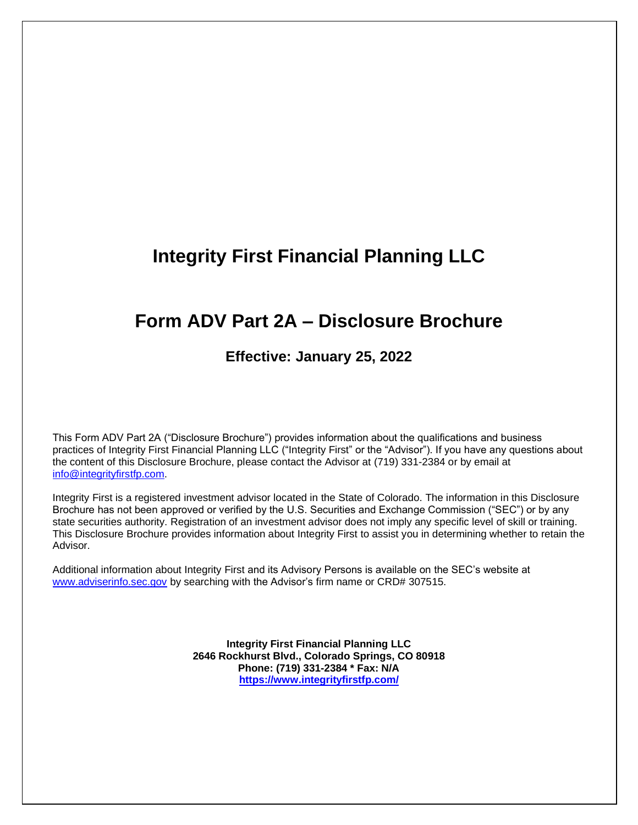# **Integrity First Financial Planning LLC**

# **Form ADV Part 2A – Disclosure Brochure**

# **Effective: January 25, 2022**

This Form ADV Part 2A ("Disclosure Brochure") provides information about the qualifications and business practices of Integrity First Financial Planning LLC ("Integrity First" or the "Advisor"). If you have any questions about the content of this Disclosure Brochure, please contact the Advisor at (719) 331-2384 or by email at info@integrityfirstfp.com.

Integrity First is a registered investment advisor located in the State of Colorado. The information in this Disclosure Brochure has not been approved or verified by the U.S. Securities and Exchange Commission ("SEC") or by any state securities authority. Registration of an investment advisor does not imply any specific level of skill or training. This Disclosure Brochure provides information about Integrity First to assist you in determining whether to retain the Advisor.

Additional information about Integrity First and its Advisory Persons is available on the SEC's website at www.adviserinfo.sec.gov by searching with the Advisor's firm name or CRD# 307515.

> **Integrity First Financial Planning LLC 2646 Rockhurst Blvd., Colorado Springs, CO 80918 Phone: (719) 331-2384 \* Fax: N/A https://www.integrityfirstfp.com/**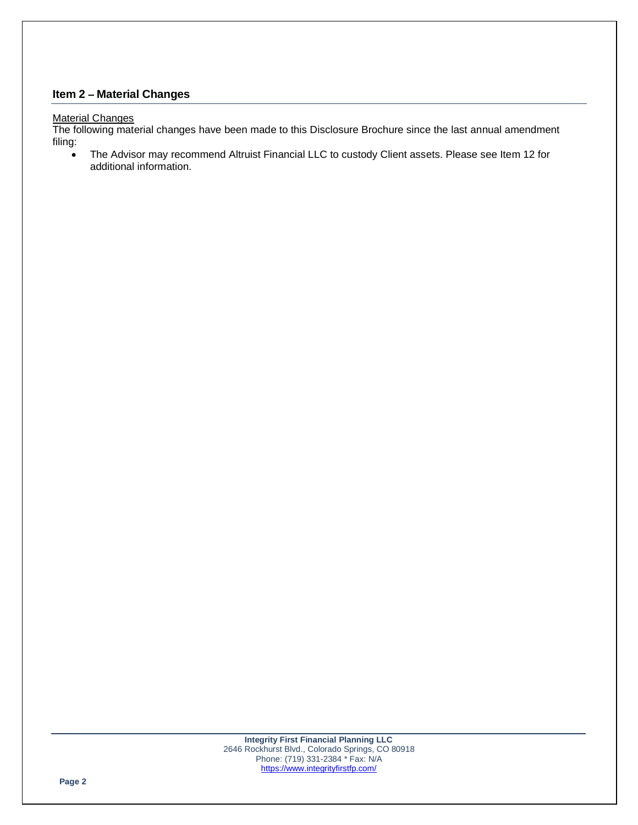# **Item 2 – Material Changes**

#### **Material Changes**

The following material changes have been made to this Disclosure Brochure since the last annual amendment filing:

• The Advisor may recommend Altruist Financial LLC to custody Client assets. Please see Item 12 for additional information.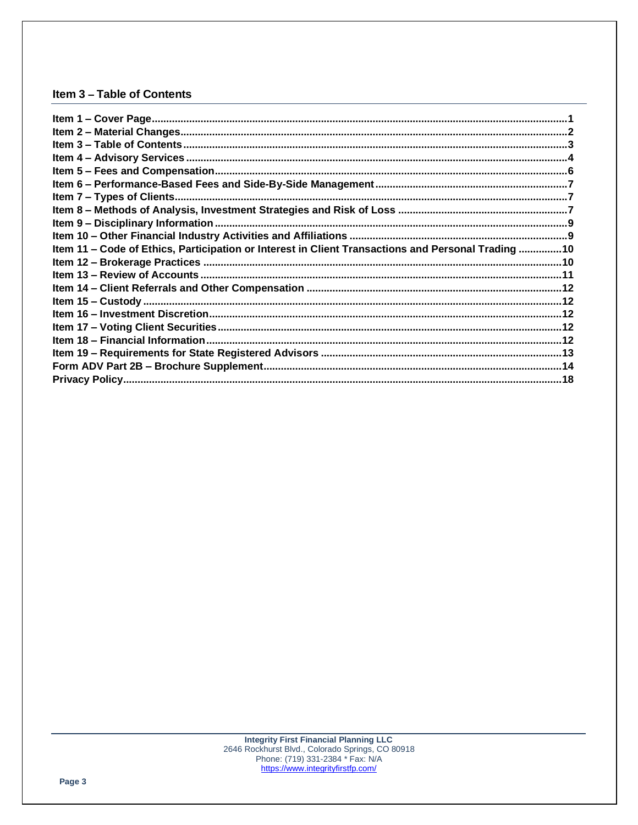# Item 3 - Table of Contents

| Item 11 – Code of Ethics, Participation or Interest in Client Transactions and Personal Trading 10 |  |
|----------------------------------------------------------------------------------------------------|--|
|                                                                                                    |  |
|                                                                                                    |  |
|                                                                                                    |  |
|                                                                                                    |  |
|                                                                                                    |  |
|                                                                                                    |  |
|                                                                                                    |  |
|                                                                                                    |  |
|                                                                                                    |  |
|                                                                                                    |  |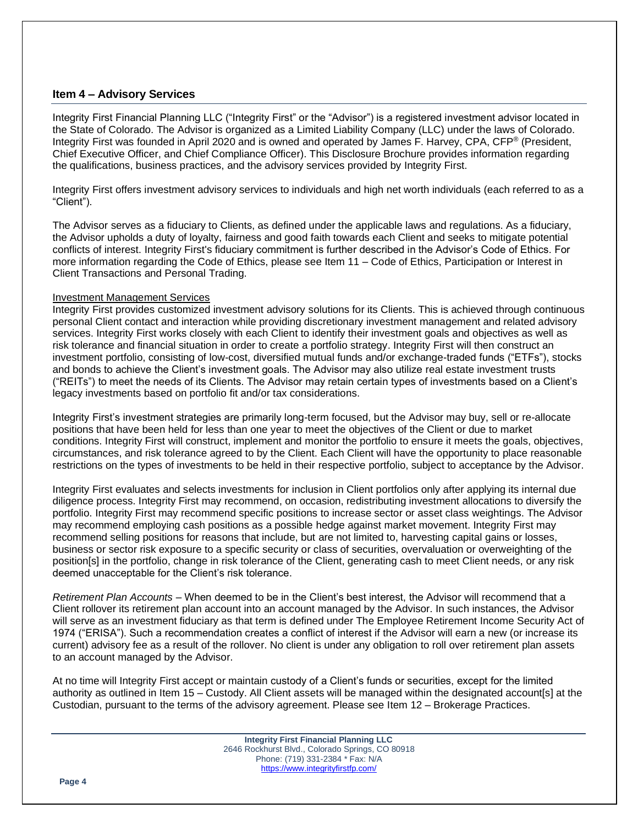#### **Item 4 – Advisory Services**

Integrity First Financial Planning LLC ("Integrity First" or the "Advisor") is a registered investment advisor located in the State of Colorado. The Advisor is organized as a Limited Liability Company (LLC) under the laws of Colorado. Integrity First was founded in April 2020 and is owned and operated by James F. Harvey, CPA, CFP® (President, Chief Executive Officer, and Chief Compliance Officer). This Disclosure Brochure provides information regarding the qualifications, business practices, and the advisory services provided by Integrity First.

Integrity First offers investment advisory services to individuals and high net worth individuals (each referred to as a "Client").

The Advisor serves as a fiduciary to Clients, as defined under the applicable laws and regulations. As a fiduciary, the Advisor upholds a duty of loyalty, fairness and good faith towards each Client and seeks to mitigate potential conflicts of interest. Integrity First's fiduciary commitment is further described in the Advisor's Code of Ethics. For more information regarding the Code of Ethics, please see Item 11 – Code of Ethics, Participation or Interest in Client Transactions and Personal Trading.

#### Investment Management Services

Integrity First provides customized investment advisory solutions for its Clients. This is achieved through continuous personal Client contact and interaction while providing discretionary investment management and related advisory services. Integrity First works closely with each Client to identify their investment goals and objectives as well as risk tolerance and financial situation in order to create a portfolio strategy. Integrity First will then construct an investment portfolio, consisting of low-cost, diversified mutual funds and/or exchange-traded funds ("ETFs"), stocks and bonds to achieve the Client's investment goals. The Advisor may also utilize real estate investment trusts ("REITs") to meet the needs of its Clients. The Advisor may retain certain types of investments based on a Client's legacy investments based on portfolio fit and/or tax considerations.

Integrity First's investment strategies are primarily long-term focused, but the Advisor may buy, sell or re-allocate positions that have been held for less than one year to meet the objectives of the Client or due to market conditions. Integrity First will construct, implement and monitor the portfolio to ensure it meets the goals, objectives, circumstances, and risk tolerance agreed to by the Client. Each Client will have the opportunity to place reasonable restrictions on the types of investments to be held in their respective portfolio, subject to acceptance by the Advisor.

Integrity First evaluates and selects investments for inclusion in Client portfolios only after applying its internal due diligence process. Integrity First may recommend, on occasion, redistributing investment allocations to diversify the portfolio. Integrity First may recommend specific positions to increase sector or asset class weightings. The Advisor may recommend employing cash positions as a possible hedge against market movement. Integrity First may recommend selling positions for reasons that include, but are not limited to, harvesting capital gains or losses, business or sector risk exposure to a specific security or class of securities, overvaluation or overweighting of the position[s] in the portfolio, change in risk tolerance of the Client, generating cash to meet Client needs, or any risk deemed unacceptable for the Client's risk tolerance.

*Retirement Plan Accounts* – When deemed to be in the Client's best interest, the Advisor will recommend that a Client rollover its retirement plan account into an account managed by the Advisor. In such instances, the Advisor will serve as an investment fiduciary as that term is defined under The Employee Retirement Income Security Act of 1974 ("ERISA"). Such a recommendation creates a conflict of interest if the Advisor will earn a new (or increase its current) advisory fee as a result of the rollover. No client is under any obligation to roll over retirement plan assets to an account managed by the Advisor.

At no time will Integrity First accept or maintain custody of a Client's funds or securities, except for the limited authority as outlined in Item 15 – Custody. All Client assets will be managed within the designated account[s] at the Custodian, pursuant to the terms of the advisory agreement. Please see Item 12 – Brokerage Practices.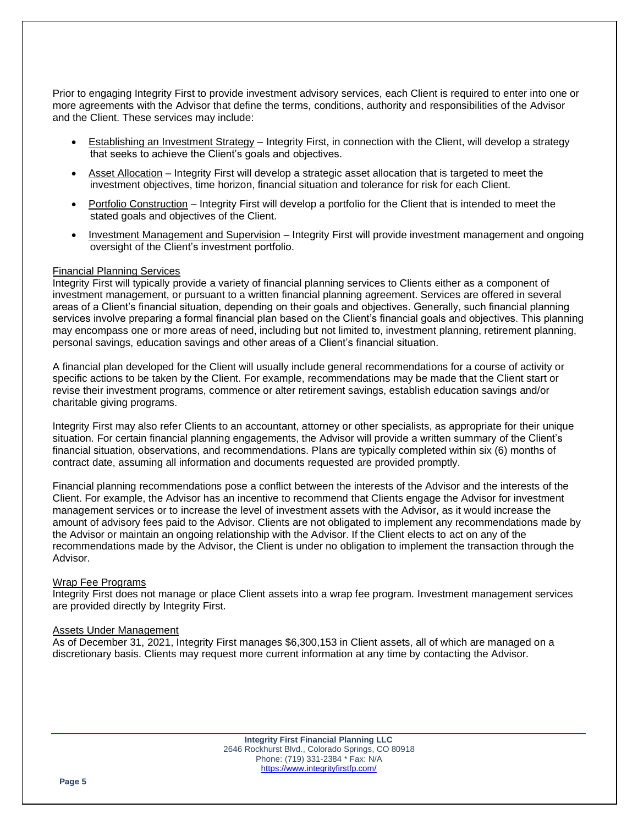Prior to engaging Integrity First to provide investment advisory services, each Client is required to enter into one or more agreements with the Advisor that define the terms, conditions, authority and responsibilities of the Advisor and the Client. These services may include:

- Establishing an Investment Strategy Integrity First, in connection with the Client, will develop a strategy that seeks to achieve the Client's goals and objectives.
- Asset Allocation Integrity First will develop a strategic asset allocation that is targeted to meet the investment objectives, time horizon, financial situation and tolerance for risk for each Client.
- Portfolio Construction Integrity First will develop a portfolio for the Client that is intended to meet the stated goals and objectives of the Client.
- Investment Management and Supervision Integrity First will provide investment management and ongoing oversight of the Client's investment portfolio.

#### Financial Planning Services

Integrity First will typically provide a variety of financial planning services to Clients either as a component of investment management, or pursuant to a written financial planning agreement. Services are offered in several areas of a Client's financial situation, depending on their goals and objectives. Generally, such financial planning services involve preparing a formal financial plan based on the Client's financial goals and objectives. This planning may encompass one or more areas of need, including but not limited to, investment planning, retirement planning, personal savings, education savings and other areas of a Client's financial situation.

A financial plan developed for the Client will usually include general recommendations for a course of activity or specific actions to be taken by the Client. For example, recommendations may be made that the Client start or revise their investment programs, commence or alter retirement savings, establish education savings and/or charitable giving programs.

Integrity First may also refer Clients to an accountant, attorney or other specialists, as appropriate for their unique situation. For certain financial planning engagements, the Advisor will provide a written summary of the Client's financial situation, observations, and recommendations. Plans are typically completed within six (6) months of contract date, assuming all information and documents requested are provided promptly.

Financial planning recommendations pose a conflict between the interests of the Advisor and the interests of the Client. For example, the Advisor has an incentive to recommend that Clients engage the Advisor for investment management services or to increase the level of investment assets with the Advisor, as it would increase the amount of advisory fees paid to the Advisor. Clients are not obligated to implement any recommendations made by the Advisor or maintain an ongoing relationship with the Advisor. If the Client elects to act on any of the recommendations made by the Advisor, the Client is under no obligation to implement the transaction through the Advisor.

#### Wrap Fee Programs

Integrity First does not manage or place Client assets into a wrap fee program. Investment management services are provided directly by Integrity First.

#### Assets Under Management

As of December 31, 2021, Integrity First manages \$6,300,153 in Client assets, all of which are managed on a discretionary basis. Clients may request more current information at any time by contacting the Advisor.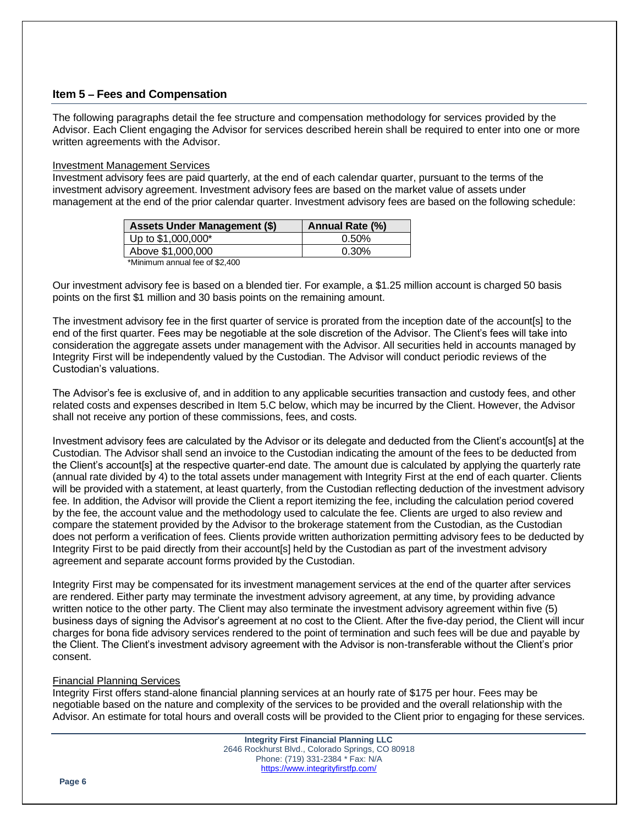# **Item 5 – Fees and Compensation**

The following paragraphs detail the fee structure and compensation methodology for services provided by the Advisor. Each Client engaging the Advisor for services described herein shall be required to enter into one or more written agreements with the Advisor.

#### Investment Management Services

Investment advisory fees are paid quarterly, at the end of each calendar quarter, pursuant to the terms of the investment advisory agreement. Investment advisory fees are based on the market value of assets under management at the end of the prior calendar quarter. Investment advisory fees are based on the following schedule:

| <b>Assets Under Management (\$)</b> | Annual Rate (%) |
|-------------------------------------|-----------------|
| Up to \$1,000,000*                  | $0.50\%$        |
| Above \$1,000,000                   | 0.30%           |

\*Minimum annual fee of \$2,400

Our investment advisory fee is based on a blended tier. For example, a \$1.25 million account is charged 50 basis points on the first \$1 million and 30 basis points on the remaining amount.

The investment advisory fee in the first quarter of service is prorated from the inception date of the account[s] to the end of the first quarter. Fees may be negotiable at the sole discretion of the Advisor. The Client's fees will take into consideration the aggregate assets under management with the Advisor. All securities held in accounts managed by Integrity First will be independently valued by the Custodian. The Advisor will conduct periodic reviews of the Custodian's valuations.

The Advisor's fee is exclusive of, and in addition to any applicable securities transaction and custody fees, and other related costs and expenses described in Item 5.C below, which may be incurred by the Client. However, the Advisor shall not receive any portion of these commissions, fees, and costs.

Investment advisory fees are calculated by the Advisor or its delegate and deducted from the Client's account[s] at the Custodian. The Advisor shall send an invoice to the Custodian indicating the amount of the fees to be deducted from the Client's account[s] at the respective quarter-end date. The amount due is calculated by applying the quarterly rate (annual rate divided by 4) to the total assets under management with Integrity First at the end of each quarter. Clients will be provided with a statement, at least quarterly, from the Custodian reflecting deduction of the investment advisory fee. In addition, the Advisor will provide the Client a report itemizing the fee, including the calculation period covered by the fee, the account value and the methodology used to calculate the fee. Clients are urged to also review and compare the statement provided by the Advisor to the brokerage statement from the Custodian, as the Custodian does not perform a verification of fees. Clients provide written authorization permitting advisory fees to be deducted by Integrity First to be paid directly from their account[s] held by the Custodian as part of the investment advisory agreement and separate account forms provided by the Custodian.

Integrity First may be compensated for its investment management services at the end of the quarter after services are rendered. Either party may terminate the investment advisory agreement, at any time, by providing advance written notice to the other party. The Client may also terminate the investment advisory agreement within five (5) business days of signing the Advisor's agreement at no cost to the Client. After the five-day period, the Client will incur charges for bona fide advisory services rendered to the point of termination and such fees will be due and payable by the Client. The Client's investment advisory agreement with the Advisor is non-transferable without the Client's prior consent.

# Financial Planning Services

Integrity First offers stand-alone financial planning services at an hourly rate of \$175 per hour. Fees may be negotiable based on the nature and complexity of the services to be provided and the overall relationship with the Advisor. An estimate for total hours and overall costs will be provided to the Client prior to engaging for these services.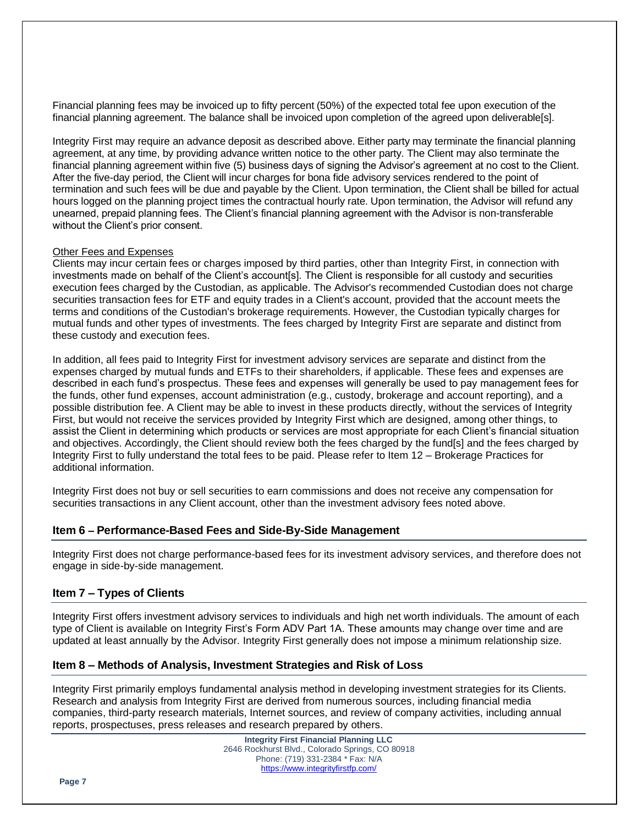Financial planning fees may be invoiced up to fifty percent (50%) of the expected total fee upon execution of the financial planning agreement. The balance shall be invoiced upon completion of the agreed upon deliverable[s].

Integrity First may require an advance deposit as described above. Either party may terminate the financial planning agreement, at any time, by providing advance written notice to the other party. The Client may also terminate the financial planning agreement within five (5) business days of signing the Advisor's agreement at no cost to the Client. After the five-day period, the Client will incur charges for bona fide advisory services rendered to the point of termination and such fees will be due and payable by the Client. Upon termination, the Client shall be billed for actual hours logged on the planning project times the contractual hourly rate. Upon termination, the Advisor will refund any unearned, prepaid planning fees. The Client's financial planning agreement with the Advisor is non-transferable without the Client's prior consent.

#### Other Fees and Expenses

Clients may incur certain fees or charges imposed by third parties, other than Integrity First, in connection with investments made on behalf of the Client's account[s]. The Client is responsible for all custody and securities execution fees charged by the Custodian, as applicable. The Advisor's recommended Custodian does not charge securities transaction fees for ETF and equity trades in a Client's account, provided that the account meets the terms and conditions of the Custodian's brokerage requirements. However, the Custodian typically charges for mutual funds and other types of investments. The fees charged by Integrity First are separate and distinct from these custody and execution fees.

In addition, all fees paid to Integrity First for investment advisory services are separate and distinct from the expenses charged by mutual funds and ETFs to their shareholders, if applicable. These fees and expenses are described in each fund's prospectus. These fees and expenses will generally be used to pay management fees for the funds, other fund expenses, account administration (e.g., custody, brokerage and account reporting), and a possible distribution fee. A Client may be able to invest in these products directly, without the services of Integrity First, but would not receive the services provided by Integrity First which are designed, among other things, to assist the Client in determining which products or services are most appropriate for each Client's financial situation and objectives. Accordingly, the Client should review both the fees charged by the fund[s] and the fees charged by Integrity First to fully understand the total fees to be paid. Please refer to Item 12 – Brokerage Practices for additional information.

Integrity First does not buy or sell securities to earn commissions and does not receive any compensation for securities transactions in any Client account, other than the investment advisory fees noted above.

# **Item 6 – Performance-Based Fees and Side-By-Side Management**

Integrity First does not charge performance-based fees for its investment advisory services, and therefore does not engage in side-by-side management.

# **Item 7 – Types of Clients**

Integrity First offers investment advisory services to individuals and high net worth individuals. The amount of each type of Client is available on Integrity First's Form ADV Part 1A. These amounts may change over time and are updated at least annually by the Advisor. Integrity First generally does not impose a minimum relationship size.

# **Item 8 – Methods of Analysis, Investment Strategies and Risk of Loss**

Integrity First primarily employs fundamental analysis method in developing investment strategies for its Clients. Research and analysis from Integrity First are derived from numerous sources, including financial media companies, third-party research materials, Internet sources, and review of company activities, including annual reports, prospectuses, press releases and research prepared by others.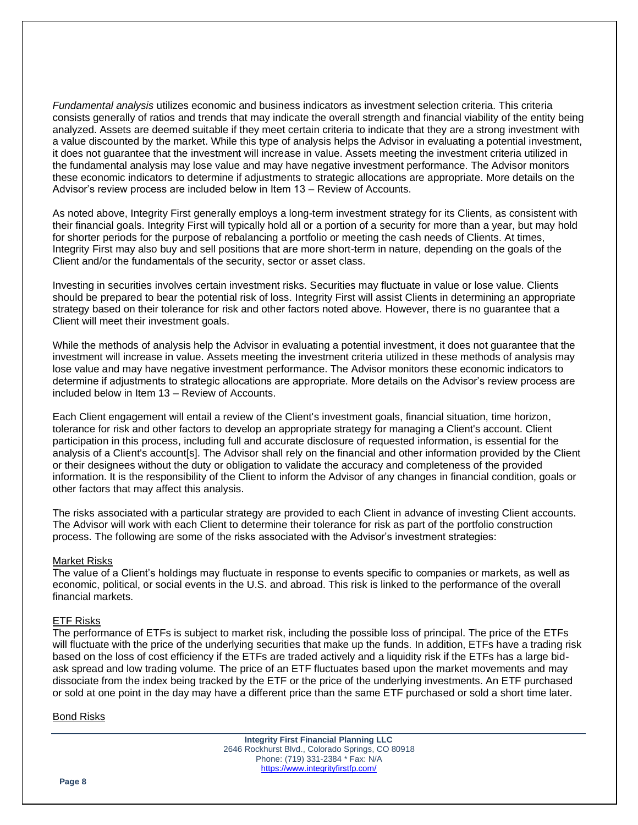*Fundamental analysis* utilizes economic and business indicators as investment selection criteria. This criteria consists generally of ratios and trends that may indicate the overall strength and financial viability of the entity being analyzed. Assets are deemed suitable if they meet certain criteria to indicate that they are a strong investment with a value discounted by the market. While this type of analysis helps the Advisor in evaluating a potential investment, it does not guarantee that the investment will increase in value. Assets meeting the investment criteria utilized in the fundamental analysis may lose value and may have negative investment performance. The Advisor monitors these economic indicators to determine if adjustments to strategic allocations are appropriate. More details on the Advisor's review process are included below in Item 13 – Review of Accounts.

As noted above, Integrity First generally employs a long-term investment strategy for its Clients, as consistent with their financial goals. Integrity First will typically hold all or a portion of a security for more than a year, but may hold for shorter periods for the purpose of rebalancing a portfolio or meeting the cash needs of Clients. At times, Integrity First may also buy and sell positions that are more short-term in nature, depending on the goals of the Client and/or the fundamentals of the security, sector or asset class.

Investing in securities involves certain investment risks. Securities may fluctuate in value or lose value. Clients should be prepared to bear the potential risk of loss. Integrity First will assist Clients in determining an appropriate strategy based on their tolerance for risk and other factors noted above. However, there is no guarantee that a Client will meet their investment goals.

While the methods of analysis help the Advisor in evaluating a potential investment, it does not guarantee that the investment will increase in value. Assets meeting the investment criteria utilized in these methods of analysis may lose value and may have negative investment performance. The Advisor monitors these economic indicators to determine if adjustments to strategic allocations are appropriate. More details on the Advisor's review process are included below in Item 13 – Review of Accounts.

Each Client engagement will entail a review of the Client's investment goals, financial situation, time horizon, tolerance for risk and other factors to develop an appropriate strategy for managing a Client's account. Client participation in this process, including full and accurate disclosure of requested information, is essential for the analysis of a Client's account[s]. The Advisor shall rely on the financial and other information provided by the Client or their designees without the duty or obligation to validate the accuracy and completeness of the provided information. It is the responsibility of the Client to inform the Advisor of any changes in financial condition, goals or other factors that may affect this analysis.

The risks associated with a particular strategy are provided to each Client in advance of investing Client accounts. The Advisor will work with each Client to determine their tolerance for risk as part of the portfolio construction process. The following are some of the risks associated with the Advisor's investment strategies:

#### Market Risks

The value of a Client's holdings may fluctuate in response to events specific to companies or markets, as well as economic, political, or social events in the U.S. and abroad. This risk is linked to the performance of the overall financial markets.

#### ETF Risks

The performance of ETFs is subject to market risk, including the possible loss of principal. The price of the ETFs will fluctuate with the price of the underlying securities that make up the funds. In addition, ETFs have a trading risk based on the loss of cost efficiency if the ETFs are traded actively and a liquidity risk if the ETFs has a large bidask spread and low trading volume. The price of an ETF fluctuates based upon the market movements and may dissociate from the index being tracked by the ETF or the price of the underlying investments. An ETF purchased or sold at one point in the day may have a different price than the same ETF purchased or sold a short time later.

#### Bond Risks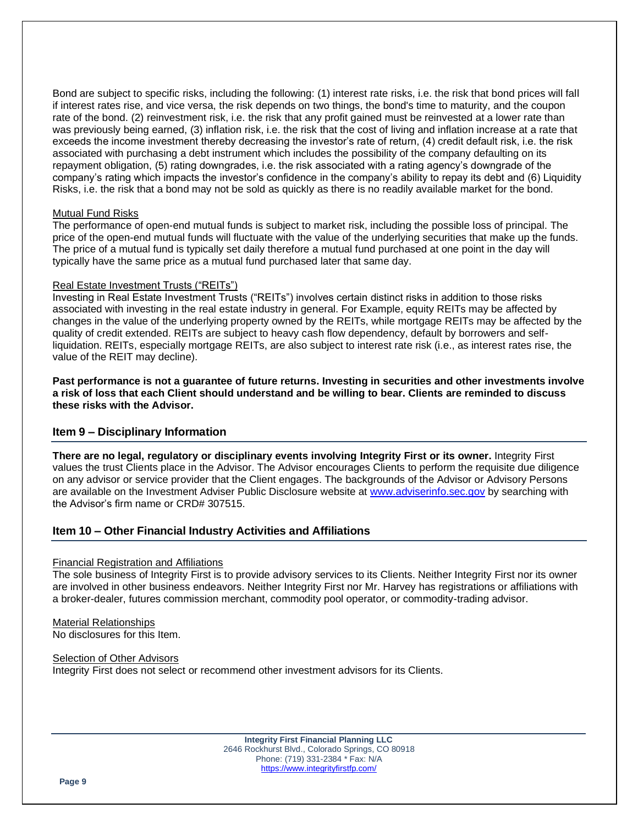Bond are subject to specific risks, including the following: (1) interest rate risks, i.e. the risk that bond prices will fall if interest rates rise, and vice versa, the risk depends on two things, the bond's time to maturity, and the coupon rate of the bond. (2) reinvestment risk, i.e. the risk that any profit gained must be reinvested at a lower rate than was previously being earned, (3) inflation risk, i.e. the risk that the cost of living and inflation increase at a rate that exceeds the income investment thereby decreasing the investor's rate of return, (4) credit default risk, i.e. the risk associated with purchasing a debt instrument which includes the possibility of the company defaulting on its repayment obligation, (5) rating downgrades, i.e. the risk associated with a rating agency's downgrade of the company's rating which impacts the investor's confidence in the company's ability to repay its debt and (6) Liquidity Risks, i.e. the risk that a bond may not be sold as quickly as there is no readily available market for the bond.

#### Mutual Fund Risks

The performance of open-end mutual funds is subject to market risk, including the possible loss of principal. The price of the open-end mutual funds will fluctuate with the value of the underlying securities that make up the funds. The price of a mutual fund is typically set daily therefore a mutual fund purchased at one point in the day will typically have the same price as a mutual fund purchased later that same day.

#### Real Estate Investment Trusts ("REITs")

Investing in Real Estate Investment Trusts ("REITs") involves certain distinct risks in addition to those risks associated with investing in the real estate industry in general. For Example, equity REITs may be affected by changes in the value of the underlying property owned by the REITs, while mortgage REITs may be affected by the quality of credit extended. REITs are subject to heavy cash flow dependency, default by borrowers and selfliquidation. REITs, especially mortgage REITs, are also subject to interest rate risk (i.e., as interest rates rise, the value of the REIT may decline).

**Past performance is not a guarantee of future returns. Investing in securities and other investments involve a risk of loss that each Client should understand and be willing to bear. Clients are reminded to discuss these risks with the Advisor.**

# **Item 9 – Disciplinary Information**

**There are no legal, regulatory or disciplinary events involving Integrity First or its owner.** Integrity First values the trust Clients place in the Advisor. The Advisor encourages Clients to perform the requisite due diligence on any advisor or service provider that the Client engages. The backgrounds of the Advisor or Advisory Persons are available on the Investment Adviser Public Disclosure website at www.adviserinfo.sec.gov by searching with the Advisor's firm name or CRD# 307515.

#### **Item 10 – Other Financial Industry Activities and Affiliations**

#### Financial Registration and Affiliations

The sole business of Integrity First is to provide advisory services to its Clients. Neither Integrity First nor its owner are involved in other business endeavors. Neither Integrity First nor Mr. Harvey has registrations or affiliations with a broker-dealer, futures commission merchant, commodity pool operator, or commodity-trading advisor.

#### Material Relationships No disclosures for this Item.

Selection of Other Advisors Integrity First does not select or recommend other investment advisors for its Clients.

> **Integrity First Financial Planning LLC** 2646 Rockhurst Blvd., Colorado Springs, CO 80918 Phone: (719) 331-2384 \* Fax: N/A https://www.integrityfirstfp.com/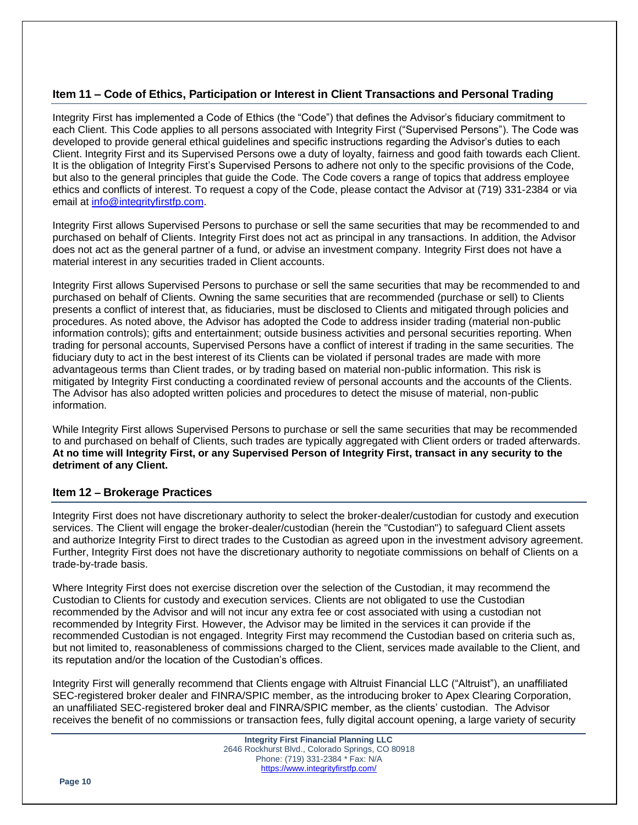# **Item 11 – Code of Ethics, Participation or Interest in Client Transactions and Personal Trading**

Integrity First has implemented a Code of Ethics (the "Code") that defines the Advisor's fiduciary commitment to each Client. This Code applies to all persons associated with Integrity First ("Supervised Persons"). The Code was developed to provide general ethical guidelines and specific instructions regarding the Advisor's duties to each Client. Integrity First and its Supervised Persons owe a duty of loyalty, fairness and good faith towards each Client. It is the obligation of Integrity First's Supervised Persons to adhere not only to the specific provisions of the Code, but also to the general principles that guide the Code. The Code covers a range of topics that address employee ethics and conflicts of interest. To request a copy of the Code, please contact the Advisor at (719) 331-2384 or via email at info@integrityfirstfp.com.

Integrity First allows Supervised Persons to purchase or sell the same securities that may be recommended to and purchased on behalf of Clients. Integrity First does not act as principal in any transactions. In addition, the Advisor does not act as the general partner of a fund, or advise an investment company. Integrity First does not have a material interest in any securities traded in Client accounts.

Integrity First allows Supervised Persons to purchase or sell the same securities that may be recommended to and purchased on behalf of Clients. Owning the same securities that are recommended (purchase or sell) to Clients presents a conflict of interest that, as fiduciaries, must be disclosed to Clients and mitigated through policies and procedures. As noted above, the Advisor has adopted the Code to address insider trading (material non-public information controls); gifts and entertainment; outside business activities and personal securities reporting. When trading for personal accounts, Supervised Persons have a conflict of interest if trading in the same securities. The fiduciary duty to act in the best interest of its Clients can be violated if personal trades are made with more advantageous terms than Client trades, or by trading based on material non-public information. This risk is mitigated by Integrity First conducting a coordinated review of personal accounts and the accounts of the Clients. The Advisor has also adopted written policies and procedures to detect the misuse of material, non-public information.

While Integrity First allows Supervised Persons to purchase or sell the same securities that may be recommended to and purchased on behalf of Clients, such trades are typically aggregated with Client orders or traded afterwards. **At no time will Integrity First, or any Supervised Person of Integrity First, transact in any security to the detriment of any Client.**

# **Item 12 – Brokerage Practices**

Integrity First does not have discretionary authority to select the broker-dealer/custodian for custody and execution services. The Client will engage the broker-dealer/custodian (herein the "Custodian") to safeguard Client assets and authorize Integrity First to direct trades to the Custodian as agreed upon in the investment advisory agreement. Further, Integrity First does not have the discretionary authority to negotiate commissions on behalf of Clients on a trade-by-trade basis.

Where Integrity First does not exercise discretion over the selection of the Custodian, it may recommend the Custodian to Clients for custody and execution services. Clients are not obligated to use the Custodian recommended by the Advisor and will not incur any extra fee or cost associated with using a custodian not recommended by Integrity First. However, the Advisor may be limited in the services it can provide if the recommended Custodian is not engaged. Integrity First may recommend the Custodian based on criteria such as, but not limited to, reasonableness of commissions charged to the Client, services made available to the Client, and its reputation and/or the location of the Custodian's offices.

Integrity First will generally recommend that Clients engage with Altruist Financial LLC ("Altruist"), an unaffiliated SEC-registered broker dealer and FINRA/SPIC member, as the introducing broker to Apex Clearing Corporation, an unaffiliated SEC-registered broker deal and FINRA/SPIC member, as the clients' custodian. The Advisor receives the benefit of no commissions or transaction fees, fully digital account opening, a large variety of security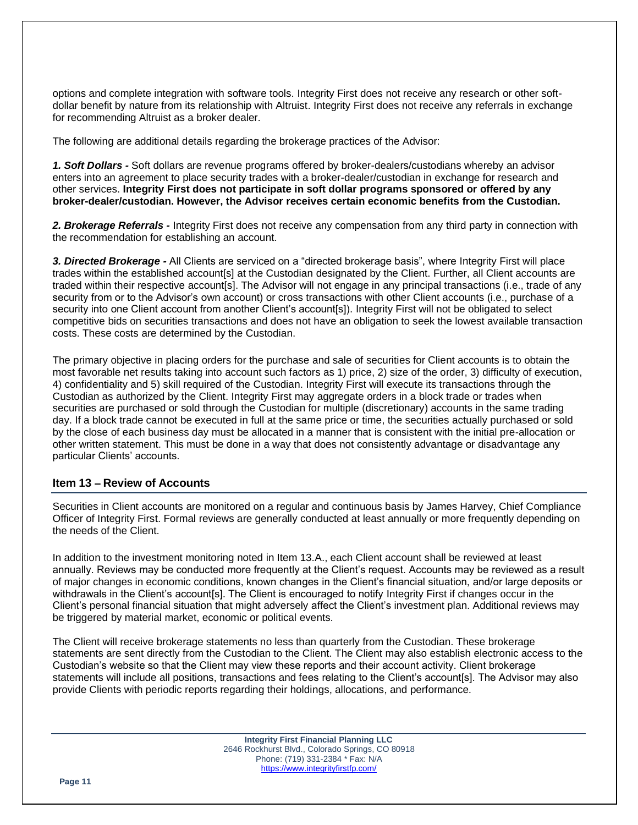options and complete integration with software tools. Integrity First does not receive any research or other softdollar benefit by nature from its relationship with Altruist. Integrity First does not receive any referrals in exchange for recommending Altruist as a broker dealer.

The following are additional details regarding the brokerage practices of the Advisor:

*1. Soft Dollars -* Soft dollars are revenue programs offered by broker-dealers/custodians whereby an advisor enters into an agreement to place security trades with a broker-dealer/custodian in exchange for research and other services. **Integrity First does not participate in soft dollar programs sponsored or offered by any broker-dealer/custodian. However, the Advisor receives certain economic benefits from the Custodian.** 

*2. Brokerage Referrals -* Integrity First does not receive any compensation from any third party in connection with the recommendation for establishing an account.

*3. Directed Brokerage -* All Clients are serviced on a "directed brokerage basis", where Integrity First will place trades within the established account[s] at the Custodian designated by the Client. Further, all Client accounts are traded within their respective account[s]. The Advisor will not engage in any principal transactions (i.e., trade of any security from or to the Advisor's own account) or cross transactions with other Client accounts (i.e., purchase of a security into one Client account from another Client's account[s]). Integrity First will not be obligated to select competitive bids on securities transactions and does not have an obligation to seek the lowest available transaction costs. These costs are determined by the Custodian.

The primary objective in placing orders for the purchase and sale of securities for Client accounts is to obtain the most favorable net results taking into account such factors as 1) price, 2) size of the order, 3) difficulty of execution, 4) confidentiality and 5) skill required of the Custodian. Integrity First will execute its transactions through the Custodian as authorized by the Client. Integrity First may aggregate orders in a block trade or trades when securities are purchased or sold through the Custodian for multiple (discretionary) accounts in the same trading day. If a block trade cannot be executed in full at the same price or time, the securities actually purchased or sold by the close of each business day must be allocated in a manner that is consistent with the initial pre-allocation or other written statement. This must be done in a way that does not consistently advantage or disadvantage any particular Clients' accounts.

# **Item 13 – Review of Accounts**

Securities in Client accounts are monitored on a regular and continuous basis by James Harvey, Chief Compliance Officer of Integrity First. Formal reviews are generally conducted at least annually or more frequently depending on the needs of the Client.

In addition to the investment monitoring noted in Item 13.A., each Client account shall be reviewed at least annually. Reviews may be conducted more frequently at the Client's request. Accounts may be reviewed as a result of major changes in economic conditions, known changes in the Client's financial situation, and/or large deposits or withdrawals in the Client's account[s]. The Client is encouraged to notify Integrity First if changes occur in the Client's personal financial situation that might adversely affect the Client's investment plan. Additional reviews may be triggered by material market, economic or political events.

The Client will receive brokerage statements no less than quarterly from the Custodian. These brokerage statements are sent directly from the Custodian to the Client. The Client may also establish electronic access to the Custodian's website so that the Client may view these reports and their account activity. Client brokerage statements will include all positions, transactions and fees relating to the Client's account[s]. The Advisor may also provide Clients with periodic reports regarding their holdings, allocations, and performance.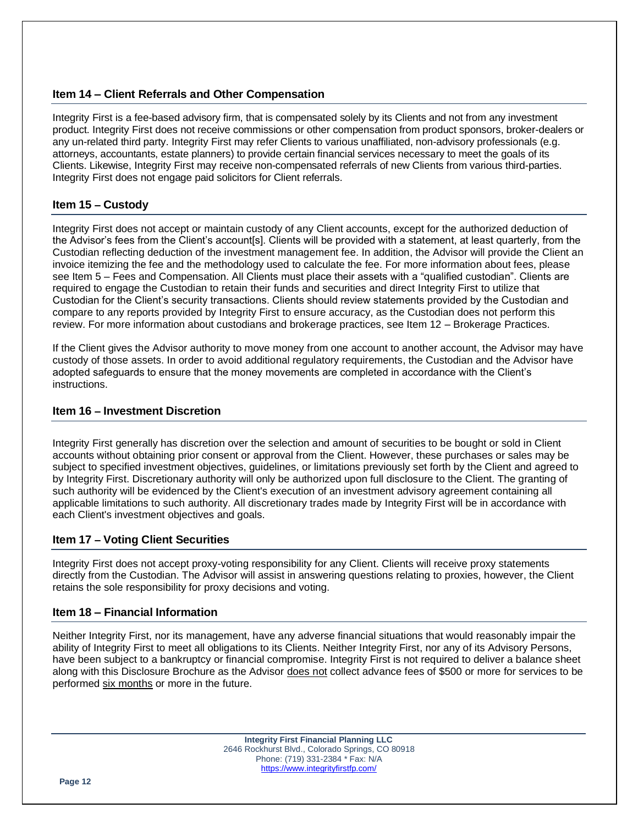# **Item 14 – Client Referrals and Other Compensation**

Integrity First is a fee-based advisory firm, that is compensated solely by its Clients and not from any investment product. Integrity First does not receive commissions or other compensation from product sponsors, broker-dealers or any un-related third party. Integrity First may refer Clients to various unaffiliated, non-advisory professionals (e.g. attorneys, accountants, estate planners) to provide certain financial services necessary to meet the goals of its Clients. Likewise, Integrity First may receive non-compensated referrals of new Clients from various third-parties. Integrity First does not engage paid solicitors for Client referrals.

# **Item 15 – Custody**

Integrity First does not accept or maintain custody of any Client accounts, except for the authorized deduction of the Advisor's fees from the Client's account[s]. Clients will be provided with a statement, at least quarterly, from the Custodian reflecting deduction of the investment management fee. In addition, the Advisor will provide the Client an invoice itemizing the fee and the methodology used to calculate the fee. For more information about fees, please see Item 5 – Fees and Compensation. All Clients must place their assets with a "qualified custodian". Clients are required to engage the Custodian to retain their funds and securities and direct Integrity First to utilize that Custodian for the Client's security transactions. Clients should review statements provided by the Custodian and compare to any reports provided by Integrity First to ensure accuracy, as the Custodian does not perform this review. For more information about custodians and brokerage practices, see Item 12 – Brokerage Practices.

If the Client gives the Advisor authority to move money from one account to another account, the Advisor may have custody of those assets. In order to avoid additional regulatory requirements, the Custodian and the Advisor have adopted safeguards to ensure that the money movements are completed in accordance with the Client's instructions.

#### **Item 16 – Investment Discretion**

Integrity First generally has discretion over the selection and amount of securities to be bought or sold in Client accounts without obtaining prior consent or approval from the Client. However, these purchases or sales may be subject to specified investment objectives, guidelines, or limitations previously set forth by the Client and agreed to by Integrity First. Discretionary authority will only be authorized upon full disclosure to the Client. The granting of such authority will be evidenced by the Client's execution of an investment advisory agreement containing all applicable limitations to such authority. All discretionary trades made by Integrity First will be in accordance with each Client's investment objectives and goals.

#### **Item 17 – Voting Client Securities**

Integrity First does not accept proxy-voting responsibility for any Client. Clients will receive proxy statements directly from the Custodian. The Advisor will assist in answering questions relating to proxies, however, the Client retains the sole responsibility for proxy decisions and voting.

#### **Item 18 – Financial Information**

Neither Integrity First, nor its management, have any adverse financial situations that would reasonably impair the ability of Integrity First to meet all obligations to its Clients. Neither Integrity First, nor any of its Advisory Persons, have been subject to a bankruptcy or financial compromise. Integrity First is not required to deliver a balance sheet along with this Disclosure Brochure as the Advisor does not collect advance fees of \$500 or more for services to be performed six months or more in the future.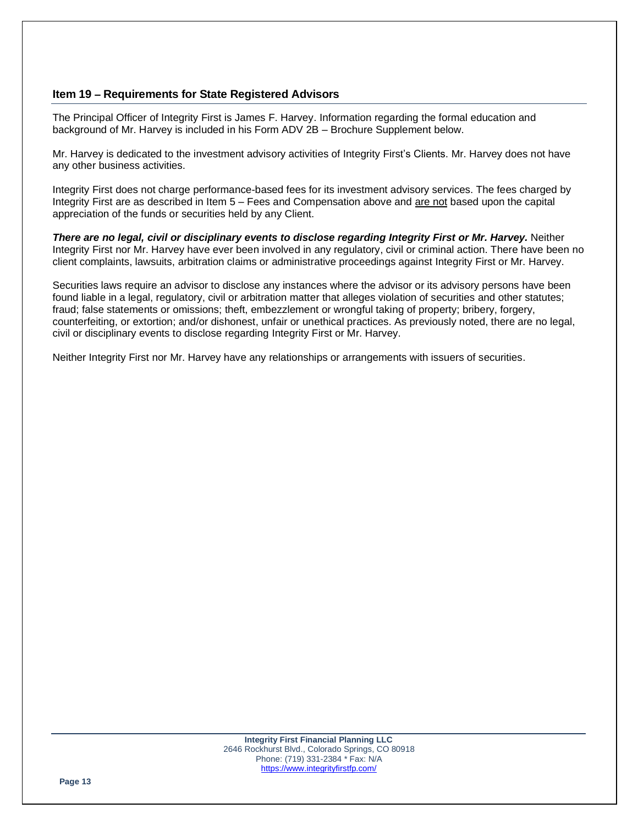# **Item 19 – Requirements for State Registered Advisors**

The Principal Officer of Integrity First is James F. Harvey. Information regarding the formal education and background of Mr. Harvey is included in his Form ADV 2B – Brochure Supplement below.

Mr. Harvey is dedicated to the investment advisory activities of Integrity First's Clients. Mr. Harvey does not have any other business activities.

Integrity First does not charge performance-based fees for its investment advisory services. The fees charged by Integrity First are as described in Item 5 – Fees and Compensation above and are not based upon the capital appreciation of the funds or securities held by any Client.

*There are no legal, civil or disciplinary events to disclose regarding Integrity First or Mr. Harvey.* Neither Integrity First nor Mr. Harvey have ever been involved in any regulatory, civil or criminal action. There have been no client complaints, lawsuits, arbitration claims or administrative proceedings against Integrity First or Mr. Harvey.

Securities laws require an advisor to disclose any instances where the advisor or its advisory persons have been found liable in a legal, regulatory, civil or arbitration matter that alleges violation of securities and other statutes; fraud; false statements or omissions; theft, embezzlement or wrongful taking of property; bribery, forgery, counterfeiting, or extortion; and/or dishonest, unfair or unethical practices. As previously noted, there are no legal, civil or disciplinary events to disclose regarding Integrity First or Mr. Harvey.

Neither Integrity First nor Mr. Harvey have any relationships or arrangements with issuers of securities.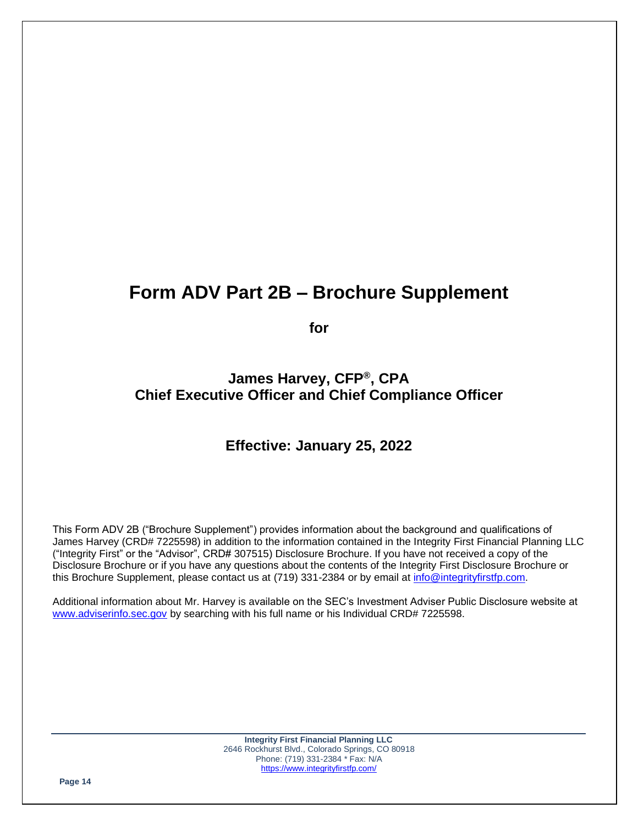# **Form ADV Part 2B – Brochure Supplement**

**for**

# **James Harvey, CFP®, CPA Chief Executive Officer and Chief Compliance Officer**

# **Effective: January 25, 2022**

This Form ADV 2B ("Brochure Supplement") provides information about the background and qualifications of James Harvey (CRD# 7225598) in addition to the information contained in the Integrity First Financial Planning LLC ("Integrity First" or the "Advisor", CRD# 307515) Disclosure Brochure. If you have not received a copy of the Disclosure Brochure or if you have any questions about the contents of the Integrity First Disclosure Brochure or this Brochure Supplement, please contact us at (719) 331-2384 or by email at info@integrityfirstfp.com.

Additional information about Mr. Harvey is available on the SEC's Investment Adviser Public Disclosure website at www.adviserinfo.sec.gov by searching with his full name or his Individual CRD# 7225598.

> **Integrity First Financial Planning LLC** 2646 Rockhurst Blvd., Colorado Springs, CO 80918 Phone: (719) 331-2384 \* Fax: N/A https://www.integrityfirstfp.com/

**Page 14**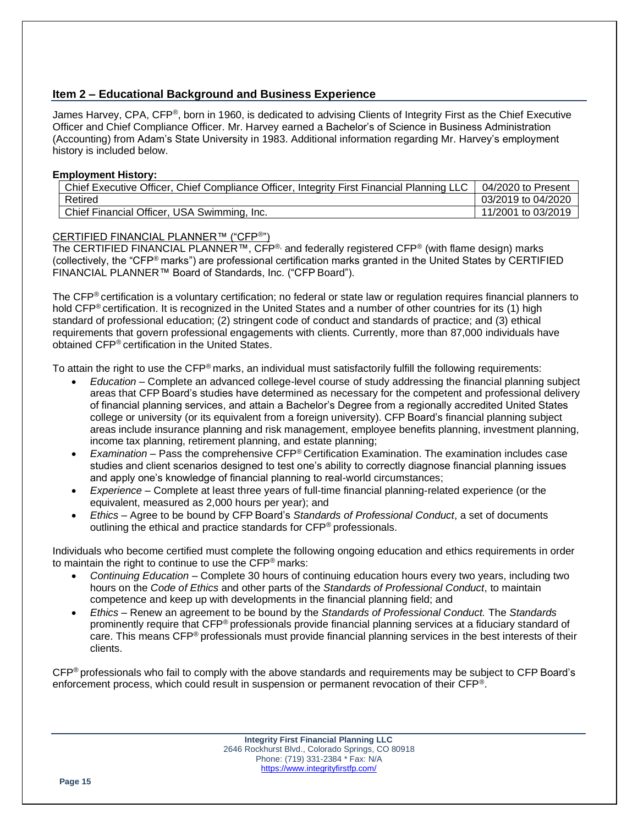# **Item 2 – Educational Background and Business Experience**

James Harvey, CPA, CFP®, born in 1960, is dedicated to advising Clients of Integrity First as the Chief Executive Officer and Chief Compliance Officer. Mr. Harvey earned a Bachelor's of Science in Business Administration (Accounting) from Adam's State University in 1983. Additional information regarding Mr. Harvey's employment history is included below.

#### **Employment History:**

| Chief Executive Officer, Chief Compliance Officer, Integrity First Financial Planning LLC | 04/2020 to Present |
|-------------------------------------------------------------------------------------------|--------------------|
| Retired                                                                                   | 03/2019 to 04/2020 |
| Chief Financial Officer, USA Swimming, Inc.                                               | 11/2001 to 03/2019 |

### CERTIFIED FINANCIAL PLANNER™ ("CFP®")

The CERTIFIED FINANCIAL PLANNER™, CFP<sup>®,</sup> and federally registered CFP<sup>®</sup> (with flame design) marks (collectively, the "CFP® marks") are professional certification marks granted in the United States by CERTIFIED FINANCIAL PLANNER™ Board of Standards, Inc. ("CFP Board").

The CFP® certification is a voluntary certification; no federal or state law or regulation requires financial planners to hold CFP® certification. It is recognized in the United States and a number of other countries for its (1) high standard of professional education; (2) stringent code of conduct and standards of practice; and (3) ethical requirements that govern professional engagements with clients. Currently, more than 87,000 individuals have obtained CFP® certification in the United States.

To attain the right to use the CFP® marks, an individual must satisfactorily fulfill the following requirements:

- *Education* Complete an advanced college-level course of study addressing the financial planning subject areas that CFP Board's studies have determined as necessary for the competent and professional delivery of financial planning services, and attain a Bachelor's Degree from a regionally accredited United States college or university (or its equivalent from a foreign university). CFP Board's financial planning subject areas include insurance planning and risk management, employee benefits planning, investment planning, income tax planning, retirement planning, and estate planning;
- *Examination* Pass the comprehensive CFP® Certification Examination. The examination includes case studies and client scenarios designed to test one's ability to correctly diagnose financial planning issues and apply one's knowledge of financial planning to real-world circumstances;
- *Experience* Complete at least three years of full-time financial planning-related experience (or the equivalent, measured as 2,000 hours per year); and
- *Ethics* Agree to be bound by CFP Board's *Standards of Professional Conduct*, a set of documents outlining the ethical and practice standards for CFP® professionals.

Individuals who become certified must complete the following ongoing education and ethics requirements in order to maintain the right to continue to use the CFP® marks:

- *Continuing Education* Complete 30 hours of continuing education hours every two years, including two hours on the *Code of Ethics* and other parts of the *Standards of Professional Conduct*, to maintain competence and keep up with developments in the financial planning field; and
- *Ethics* Renew an agreement to be bound by the *Standards of Professional Conduct.* The *Standards* prominently require that CFP® professionals provide financial planning services at a fiduciary standard of care. This means CFP<sup>®</sup> professionals must provide financial planning services in the best interests of their clients.

CFP® professionals who fail to comply with the above standards and requirements may be subject to CFP Board's enforcement process, which could result in suspension or permanent revocation of their CFP®.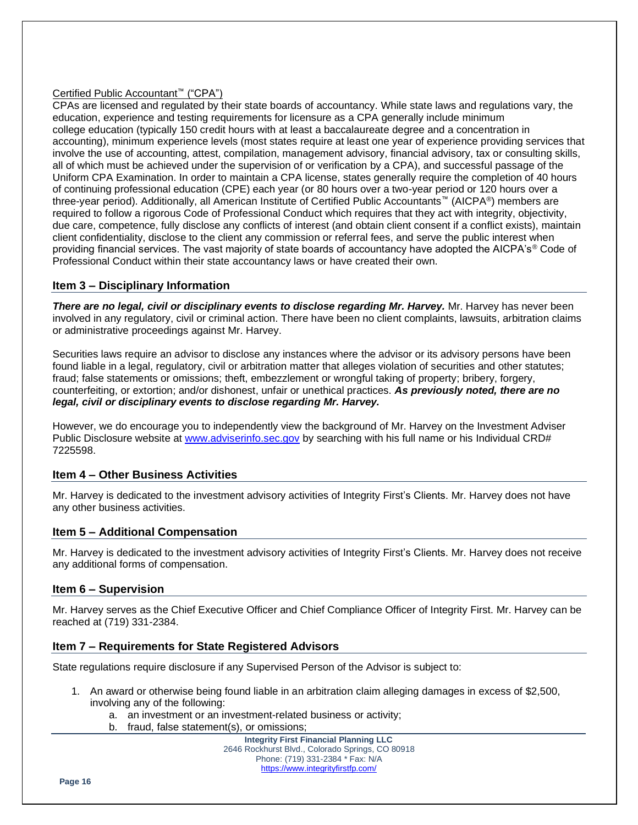# Certified Public Accountant™ ("CPA")

CPAs are licensed and regulated by their state boards of accountancy. While state laws and regulations vary, the education, experience and testing requirements for licensure as a CPA generally include minimum college education (typically 150 credit hours with at least a baccalaureate degree and a concentration in accounting), minimum experience levels (most states require at least one year of experience providing services that involve the use of accounting, attest, compilation, management advisory, financial advisory, tax or consulting skills, all of which must be achieved under the supervision of or verification by a CPA), and successful passage of the Uniform CPA Examination. In order to maintain a CPA license, states generally require the completion of 40 hours of continuing professional education (CPE) each year (or 80 hours over a two-year period or 120 hours over a three-year period). Additionally, all American Institute of Certified Public Accountants™ (AICPA®) members are required to follow a rigorous Code of Professional Conduct which requires that they act with integrity, objectivity, due care, competence, fully disclose any conflicts of interest (and obtain client consent if a conflict exists), maintain client confidentiality, disclose to the client any commission or referral fees, and serve the public interest when providing financial services. The vast majority of state boards of accountancy have adopted the AICPA's<sup>®</sup> Code of Professional Conduct within their state accountancy laws or have created their own.

# **Item 3 – Disciplinary Information**

*There are no legal, civil or disciplinary events to disclose regarding Mr. Harvey.* Mr. Harvey has never been involved in any regulatory, civil or criminal action. There have been no client complaints, lawsuits, arbitration claims or administrative proceedings against Mr. Harvey.

Securities laws require an advisor to disclose any instances where the advisor or its advisory persons have been found liable in a legal, regulatory, civil or arbitration matter that alleges violation of securities and other statutes; fraud; false statements or omissions; theft, embezzlement or wrongful taking of property; bribery, forgery, counterfeiting, or extortion; and/or dishonest, unfair or unethical practices. *As previously noted, there are no legal, civil or disciplinary events to disclose regarding Mr. Harvey.*

However, we do encourage you to independently view the background of Mr. Harvey on the Investment Adviser Public Disclosure website at www.adviserinfo.sec.gov by searching with his full name or his Individual CRD# 7225598.

# **Item 4 – Other Business Activities**

Mr. Harvey is dedicated to the investment advisory activities of Integrity First's Clients. Mr. Harvey does not have any other business activities.

# **Item 5 – Additional Compensation**

Mr. Harvey is dedicated to the investment advisory activities of Integrity First's Clients. Mr. Harvey does not receive any additional forms of compensation.

#### **Item 6 – Supervision**

Mr. Harvey serves as the Chief Executive Officer and Chief Compliance Officer of Integrity First. Mr. Harvey can be reached at (719) 331-2384.

# **Item 7 – Requirements for State Registered Advisors**

State regulations require disclosure if any Supervised Person of the Advisor is subject to:

- 1. An award or otherwise being found liable in an arbitration claim alleging damages in excess of \$2,500, involving any of the following:
	- a. an investment or an investment-related business or activity;
	- b. fraud, false statement(s), or omissions;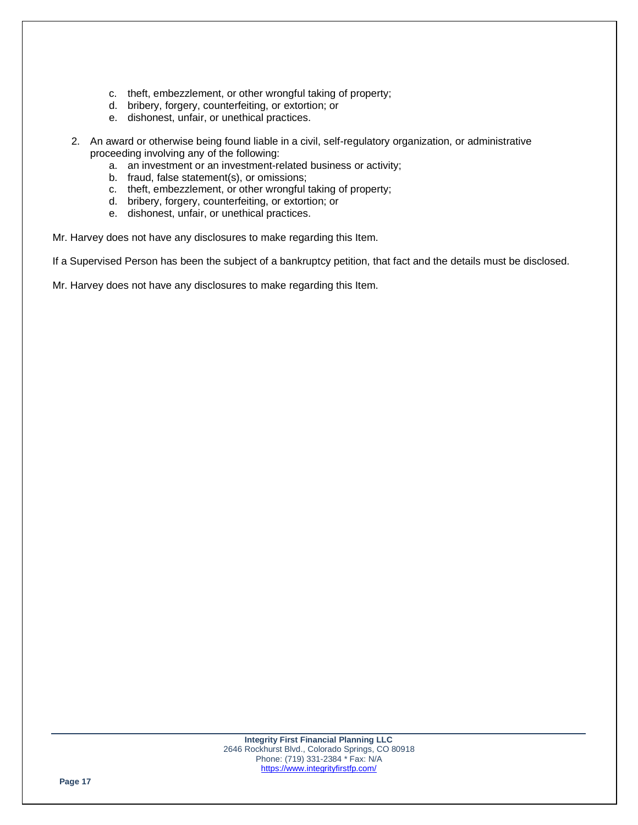- c. theft, embezzlement, or other wrongful taking of property;
- d. bribery, forgery, counterfeiting, or extortion; or
- e. dishonest, unfair, or unethical practices.
- 2. An award or otherwise being found liable in a civil, self-regulatory organization, or administrative proceeding involving any of the following:
	- a. an investment or an investment-related business or activity;
	- b. fraud, false statement(s), or omissions;
	- c. theft, embezzlement, or other wrongful taking of property;
	- d. bribery, forgery, counterfeiting, or extortion; or
	- e. dishonest, unfair, or unethical practices.

Mr. Harvey does not have any disclosures to make regarding this Item.

If a Supervised Person has been the subject of a bankruptcy petition, that fact and the details must be disclosed.

Mr. Harvey does not have any disclosures to make regarding this Item.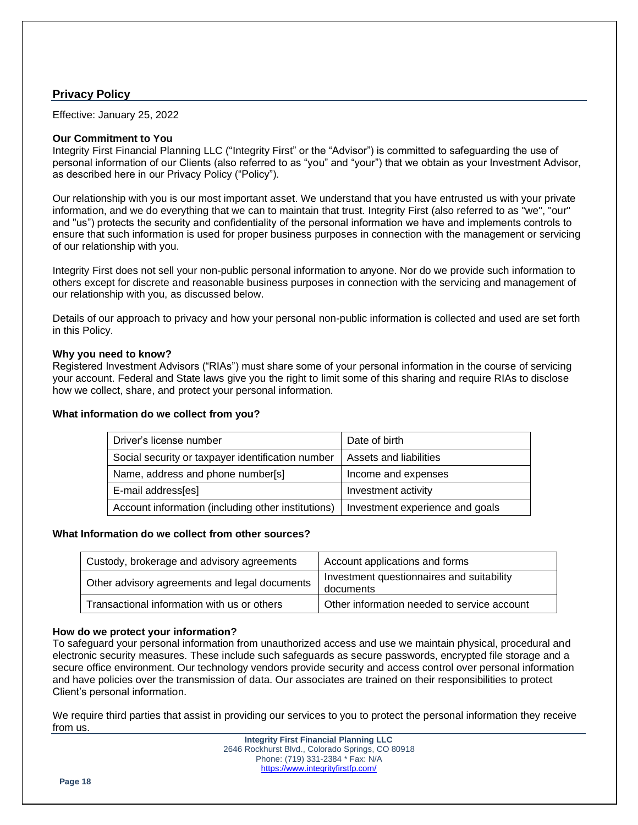# **Privacy Policy**

Effective: January 25, 2022

#### **Our Commitment to You**

Integrity First Financial Planning LLC ("Integrity First" or the "Advisor") is committed to safeguarding the use of personal information of our Clients (also referred to as "you" and "your") that we obtain as your Investment Advisor, as described here in our Privacy Policy ("Policy").

Our relationship with you is our most important asset. We understand that you have entrusted us with your private information, and we do everything that we can to maintain that trust. Integrity First (also referred to as "we", "our" and "us") protects the security and confidentiality of the personal information we have and implements controls to ensure that such information is used for proper business purposes in connection with the management or servicing of our relationship with you.

Integrity First does not sell your non-public personal information to anyone. Nor do we provide such information to others except for discrete and reasonable business purposes in connection with the servicing and management of our relationship with you, as discussed below.

Details of our approach to privacy and how your personal non-public information is collected and used are set forth in this Policy.

#### **Why you need to know?**

Registered Investment Advisors ("RIAs") must share some of your personal information in the course of servicing your account. Federal and State laws give you the right to limit some of this sharing and require RIAs to disclose how we collect, share, and protect your personal information.

#### **What information do we collect from you?**

| Driver's license number                            | Date of birth                   |
|----------------------------------------------------|---------------------------------|
| Social security or taxpayer identification number  | Assets and liabilities          |
| Name, address and phone number[s]                  | Income and expenses             |
| E-mail address[es]                                 | Investment activity             |
| Account information (including other institutions) | Investment experience and goals |

#### **What Information do we collect from other sources?**

| Custody, brokerage and advisory agreements    | Account applications and forms                         |
|-----------------------------------------------|--------------------------------------------------------|
| Other advisory agreements and legal documents | Investment questionnaires and suitability<br>documents |
| Transactional information with us or others   | Other information needed to service account            |

#### **How do we protect your information?**

To safeguard your personal information from unauthorized access and use we maintain physical, procedural and electronic security measures. These include such safeguards as secure passwords, encrypted file storage and a secure office environment. Our technology vendors provide security and access control over personal information and have policies over the transmission of data. Our associates are trained on their responsibilities to protect Client's personal information.

We require third parties that assist in providing our services to you to protect the personal information they receive from us.

> **Integrity First Financial Planning LLC** 2646 Rockhurst Blvd., Colorado Springs, CO 80918 Phone: (719) 331-2384 \* Fax: N/A https://www.integrityfirstfp.com/

**Page 18**